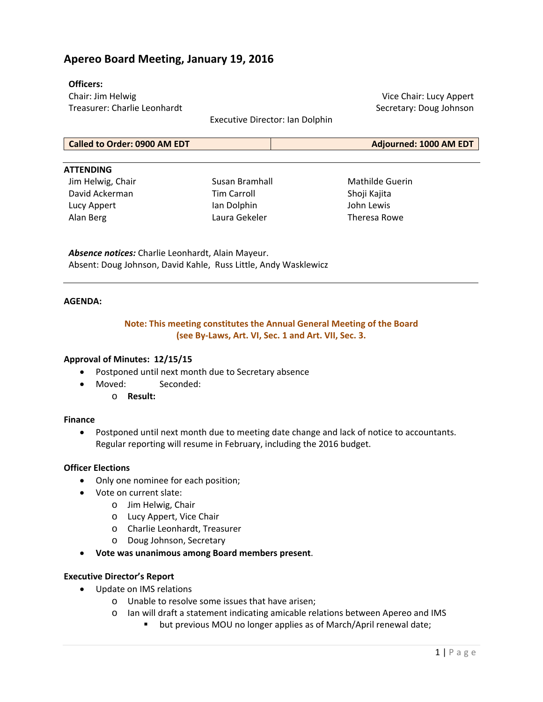## **Apereo Board Meeting, January 19, 2016**

### **Officers:**

Chair: Jim Helwig Treasurer: Charlie Leonhardt

Vice Chair: Lucy Appert Secretary: Doug Johnson

Executive Director: Ian Dolphin

| <b>Called to Order: 0900 AM EDT</b> | Adjourned: 1000 AM EDT |
|-------------------------------------|------------------------|
|-------------------------------------|------------------------|

#### **ATTENDING**

Jim Helwig, Chair David Ackerman Lucy Appert Alan Berg

Susan Bramhall Tim Carroll Ian Dolphin Laura Gekeler

Mathilde Guerin Shoji Kajita John Lewis Theresa Rowe

*Absence notices:* Charlie Leonhardt, Alain Mayeur. Absent: Doug Johnson, David Kahle, Russ Little, Andy Wasklewicz

#### **AGENDA:**

## **Note: This meeting constitutes the Annual General Meeting of the Board (see By‐Laws, Art. VI, Sec. 1 and Art. VII, Sec. 3.**

### **Approval of Minutes: 12/15/15**

- Postponed until next month due to Secretary absence
- Moved: Seconded:
	- o **Result:**

### **Finance**

 Postponed until next month due to meeting date change and lack of notice to accountants. Regular reporting will resume in February, including the 2016 budget.

### **Officer Elections**

- Only one nominee for each position;
- Vote on current slate:
	- o Jim Helwig, Chair
	- o Lucy Appert, Vice Chair
	- o Charlie Leonhardt, Treasurer
	- o Doug Johnson, Secretary
- **Vote was unanimous among Board members present**.

### **Executive Director's Report**

- Update on IMS relations
	- o Unable to resolve some issues that have arisen;
	- o Ian will draft a statement indicating amicable relations between Apereo and IMS
		- **•** but previous MOU no longer applies as of March/April renewal date;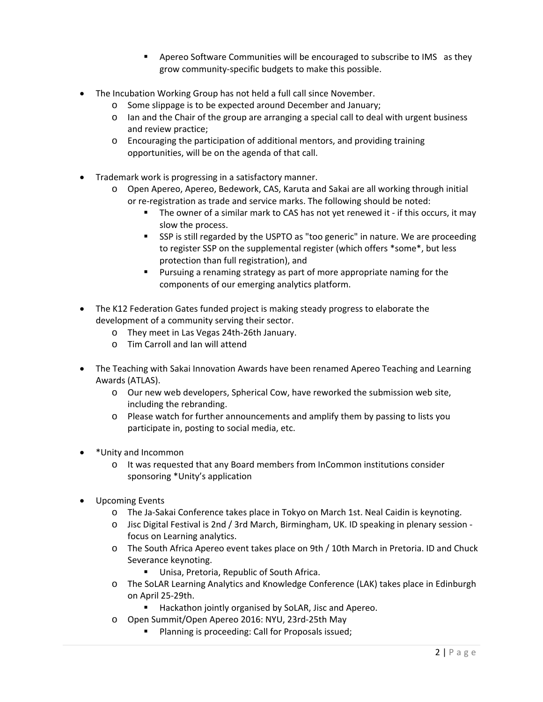- **EXP** Apereo Software Communities will be encouraged to subscribe to IMS as they grow community‐specific budgets to make this possible.
- The Incubation Working Group has not held a full call since November.
	- o Some slippage is to be expected around December and January;
	- o Ian and the Chair of the group are arranging a special call to deal with urgent business and review practice;
	- o Encouraging the participation of additional mentors, and providing training opportunities, will be on the agenda of that call.
- Trademark work is progressing in a satisfactory manner.
	- o Open Apereo, Apereo, Bedework, CAS, Karuta and Sakai are all working through initial or re‐registration as trade and service marks. The following should be noted:
		- The owner of a similar mark to CAS has not yet renewed it if this occurs, it may slow the process.
		- SSP is still regarded by the USPTO as "too generic" in nature. We are proceeding to register SSP on the supplemental register (which offers \*some\*, but less protection than full registration), and
		- **Pursuing a renaming strategy as part of more appropriate naming for the** components of our emerging analytics platform.
- The K12 Federation Gates funded project is making steady progress to elaborate the development of a community serving their sector.
	- o They meet in Las Vegas 24th‐26th January.
	- o Tim Carroll and Ian will attend
- The Teaching with Sakai Innovation Awards have been renamed Apereo Teaching and Learning Awards (ATLAS).
	- o Our new web developers, Spherical Cow, have reworked the submission web site, including the rebranding.
	- o Please watch for further announcements and amplify them by passing to lists you participate in, posting to social media, etc.
- \*Unity and Incommon
	- o It was requested that any Board members from InCommon institutions consider sponsoring \*Unity's application
- Upcoming Events
	- o The Ja‐Sakai Conference takes place in Tokyo on March 1st. Neal Caidin is keynoting.
	- o Jisc Digital Festival is 2nd / 3rd March, Birmingham, UK. ID speaking in plenary session ‐ focus on Learning analytics.
	- o The South Africa Apereo event takes place on 9th / 10th March in Pretoria. ID and Chuck Severance keynoting.
		- **Unisa, Pretoria, Republic of South Africa.**
	- o The SoLAR Learning Analytics and Knowledge Conference (LAK) takes place in Edinburgh on April 25‐29th.
		- Hackathon jointly organised by SoLAR, Jisc and Apereo.
	- o Open Summit/Open Apereo 2016: NYU, 23rd‐25th May
		- **Planning is proceeding: Call for Proposals issued;**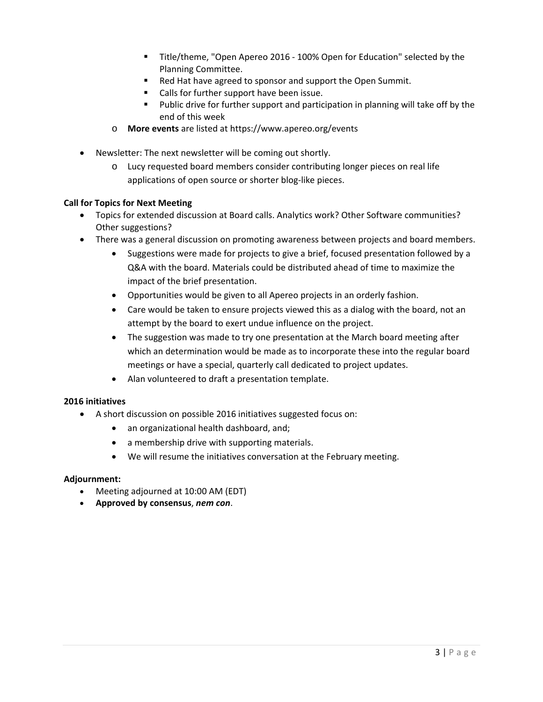- Title/theme, "Open Apereo 2016 100% Open for Education" selected by the Planning Committee.
- Red Hat have agreed to sponsor and support the Open Summit.
- **EXEC** Calls for further support have been issue.
- Public drive for further support and participation in planning will take off by the end of this week
- o **More events** are listed at https://www.apereo.org/events
- Newsletter: The next newsletter will be coming out shortly.
	- o Lucy requested board members consider contributing longer pieces on real life applications of open source or shorter blog-like pieces.

### **Call for Topics for Next Meeting**

- Topics for extended discussion at Board calls. Analytics work? Other Software communities? Other suggestions?
- There was a general discussion on promoting awareness between projects and board members.
	- Suggestions were made for projects to give a brief, focused presentation followed by a Q&A with the board. Materials could be distributed ahead of time to maximize the impact of the brief presentation.
	- Opportunities would be given to all Apereo projects in an orderly fashion.
	- Care would be taken to ensure projects viewed this as a dialog with the board, not an attempt by the board to exert undue influence on the project.
	- The suggestion was made to try one presentation at the March board meeting after which an determination would be made as to incorporate these into the regular board meetings or have a special, quarterly call dedicated to project updates.
	- Alan volunteered to draft a presentation template.

### **2016 initiatives**

- A short discussion on possible 2016 initiatives suggested focus on:
	- an organizational health dashboard, and;
	- a membership drive with supporting materials.
	- We will resume the initiatives conversation at the February meeting.

### **Adjournment:**

- Meeting adjourned at 10:00 AM (EDT)
- **Approved by consensus**, *nem con*.